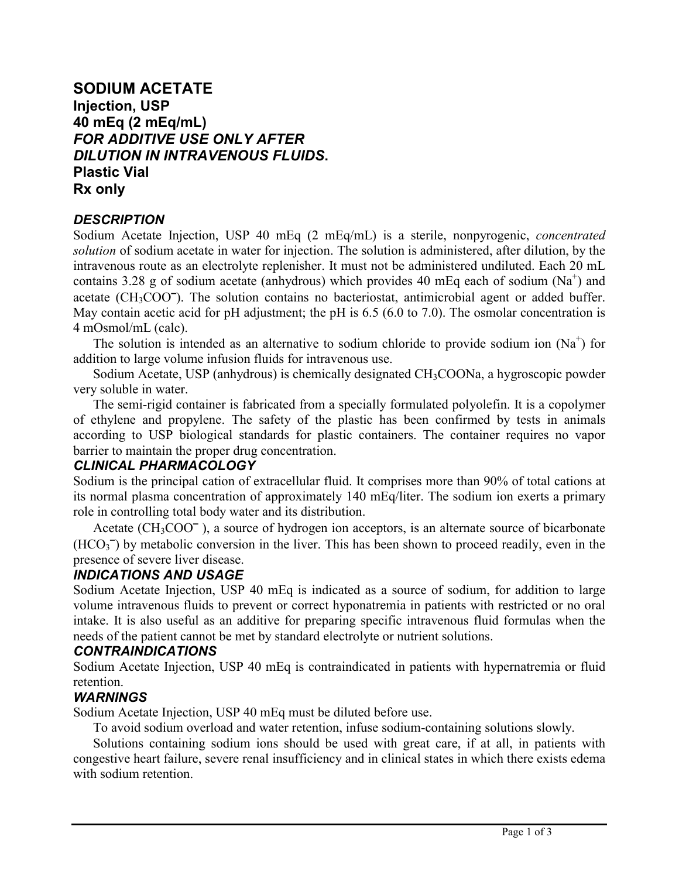# **SODIUM ACETATE Injection, USP 40 mEq (2 mEq/mL)** *FOR ADDITIVE USE ONLY AFTER DILUTION IN INTRAVENOUS FLUIDS***. Plastic Vial Rx only**

### *DESCRIPTION*

Sodium Acetate Injection, USP 40 mEq (2 mEq/mL) is a sterile, nonpyrogenic, *concentrated solution* of sodium acetate in water for injection. The solution is administered, after dilution, by the intravenous route as an electrolyte replenisher. It must not be administered undiluted. Each 20 mL contains 3.28 g of sodium acetate (anhydrous) which provides 40 mEq each of sodium ( $Na<sup>+</sup>$ ) and acetate ( $CH<sub>3</sub>COO<sup>-</sup>$ ). The solution contains no bacteriostat, antimicrobial agent or added buffer. May contain acetic acid for pH adjustment; the pH is 6.5 (6.0 to 7.0). The osmolar concentration is 4 mOsmol/mL (calc).

The solution is intended as an alternative to sodium chloride to provide sodium ion  $(Na^+)$  for addition to large volume infusion fluids for intravenous use.

Sodium Acetate, USP (anhydrous) is chemically designated CH3COONa, a hygroscopic powder very soluble in water.

The semi-rigid container is fabricated from a specially formulated polyolefin. It is a copolymer of ethylene and propylene. The safety of the plastic has been confirmed by tests in animals according to USP biological standards for plastic containers. The container requires no vapor barrier to maintain the proper drug concentration.

### *CLINICAL PHARMACOLOGY*

Sodium is the principal cation of extracellular fluid. It comprises more than 90% of total cations at its normal plasma concentration of approximately 140 mEq/liter. The sodium ion exerts a primary role in controlling total body water and its distribution.

Acetate (CH<sub>3</sub>COO<sup>-</sup>), a source of hydrogen ion acceptors, is an alternate source of bicarbonate (HCO<sub>3</sub><sup>-</sup>) by metabolic conversion in the liver. This has been shown to proceed readily, even in the presence of severe liver disease.

### *INDICATIONS AND USAGE*

Sodium Acetate Injection, USP 40 mEq is indicated as a source of sodium, for addition to large volume intravenous fluids to prevent or correct hyponatremia in patients with restricted or no oral intake. It is also useful as an additive for preparing specific intravenous fluid formulas when the needs of the patient cannot be met by standard electrolyte or nutrient solutions.

### *CONTRAINDICATIONS*

Sodium Acetate Injection, USP 40 mEq is contraindicated in patients with hypernatremia or fluid retention.

## *WARNINGS*

Sodium Acetate Injection, USP 40 mEq must be diluted before use.

To avoid sodium overload and water retention, infuse sodium-containing solutions slowly.

Solutions containing sodium ions should be used with great care, if at all, in patients with congestive heart failure, severe renal insufficiency and in clinical states in which there exists edema with sodium retention.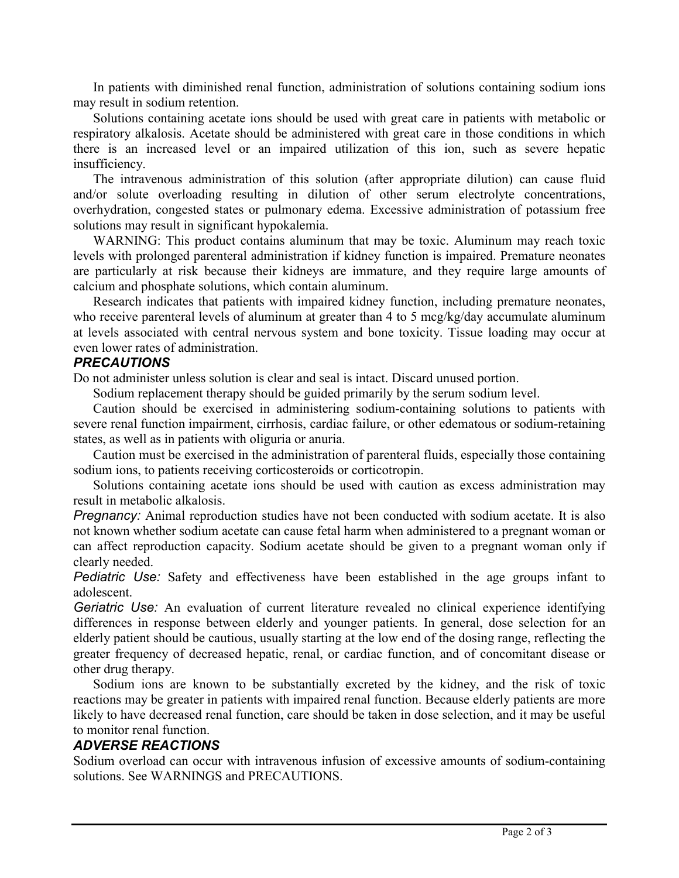In patients with diminished renal function, administration of solutions containing sodium ions may result in sodium retention.

Solutions containing acetate ions should be used with great care in patients with metabolic or respiratory alkalosis. Acetate should be administered with great care in those conditions in which there is an increased level or an impaired utilization of this ion, such as severe hepatic insufficiency.

The intravenous administration of this solution (after appropriate dilution) can cause fluid and/or solute overloading resulting in dilution of other serum electrolyte concentrations, overhydration, congested states or pulmonary edema. Excessive administration of potassium free solutions may result in significant hypokalemia.

WARNING: This product contains aluminum that may be toxic. Aluminum may reach toxic levels with prolonged parenteral administration if kidney function is impaired. Premature neonates are particularly at risk because their kidneys are immature, and they require large amounts of calcium and phosphate solutions, which contain aluminum.

Research indicates that patients with impaired kidney function, including premature neonates, who receive parenteral levels of aluminum at greater than 4 to 5 mcg/kg/day accumulate aluminum at levels associated with central nervous system and bone toxicity. Tissue loading may occur at even lower rates of administration.

### *PRECAUTIONS*

Do not administer unless solution is clear and seal is intact. Discard unused portion.

Sodium replacement therapy should be guided primarily by the serum sodium level.

Caution should be exercised in administering sodium-containing solutions to patients with severe renal function impairment, cirrhosis, cardiac failure, or other edematous or sodium-retaining states, as well as in patients with oliguria or anuria.

Caution must be exercised in the administration of parenteral fluids, especially those containing sodium ions, to patients receiving corticosteroids or corticotropin.

Solutions containing acetate ions should be used with caution as excess administration may result in metabolic alkalosis.

*Pregnancy:* Animal reproduction studies have not been conducted with sodium acetate. It is also not known whether sodium acetate can cause fetal harm when administered to a pregnant woman or can affect reproduction capacity. Sodium acetate should be given to a pregnant woman only if clearly needed.

*Pediatric Use:* Safety and effectiveness have been established in the age groups infant to adolescent.

*Geriatric Use:* An evaluation of current literature revealed no clinical experience identifying differences in response between elderly and younger patients. In general, dose selection for an elderly patient should be cautious, usually starting at the low end of the dosing range, reflecting the greater frequency of decreased hepatic, renal, or cardiac function, and of concomitant disease or other drug therapy.

Sodium ions are known to be substantially excreted by the kidney, and the risk of toxic reactions may be greater in patients with impaired renal function. Because elderly patients are more likely to have decreased renal function, care should be taken in dose selection, and it may be useful to monitor renal function.

### *ADVERSE REACTIONS*

Sodium overload can occur with intravenous infusion of excessive amounts of sodium-containing solutions. See WARNINGS and PRECAUTIONS.